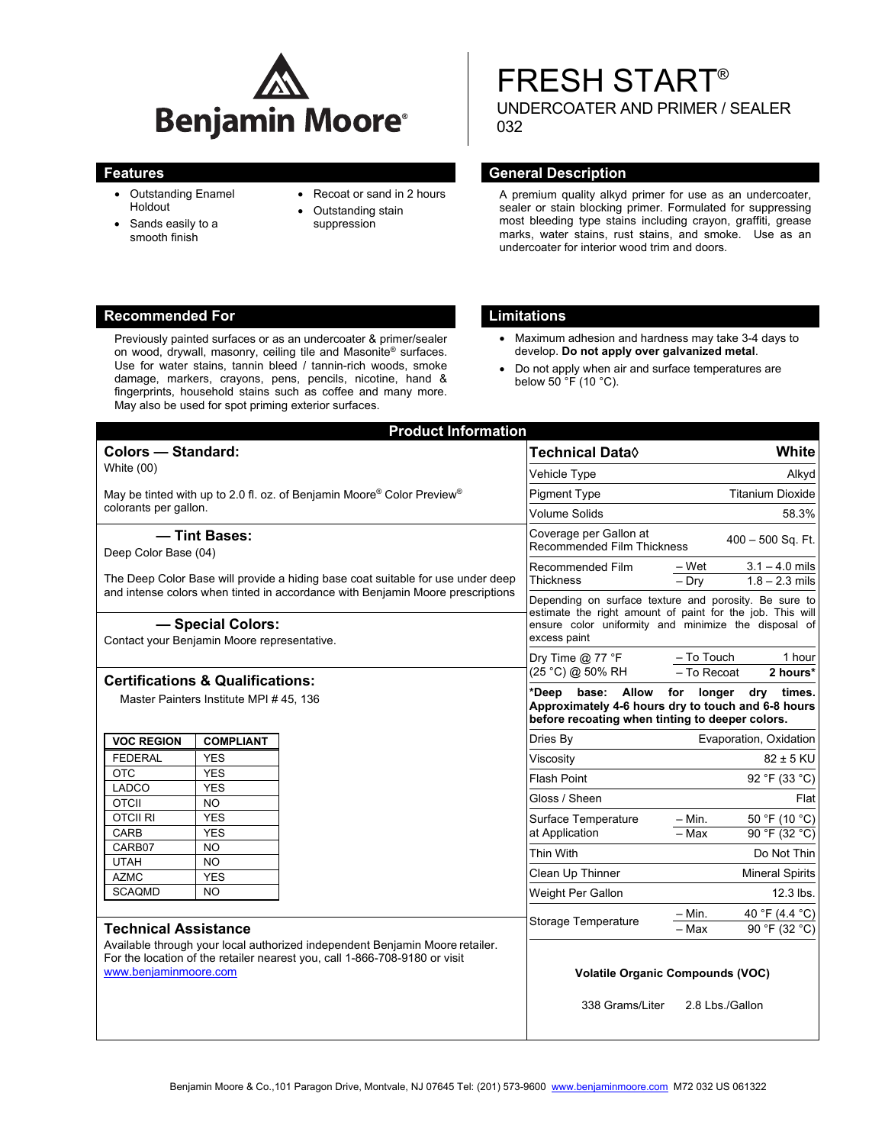

- Outstanding Enamel Holdout
- Sands easily to a smooth finish
- Recoat or sand in 2 hours
- Outstanding stain suppression

# FRESH START® UNDERCOATER AND PRIMER / SEALER 032

## **Features General Description Contract Description Acts and Acts and Acts and Acts and Acts and Acts and Acts and Acts and Acts and Acts and Acts and Acts and Acts and Acts and Acts and Acts and Acts and Acts and Acts and**

A premium quality alkyd primer for use as an undercoater, sealer or stain blocking primer. Formulated for suppressing most bleeding type stains including crayon, graffiti, grease marks, water stains, rust stains, and smoke. Use as an undercoater for interior wood trim and doors.

## **Recommended For Limitations**

Previously painted surfaces or as an undercoater & primer/sealer on wood, drywall, masonry, ceiling tile and Masonite® surfaces. Use for water stains, tannin bleed / tannin-rich woods, smoke damage, markers, crayons, pens, pencils, nicotine, hand & fingerprints, household stains such as coffee and many more. May also be used for spot priming exterior surfaces.

- Maximum adhesion and hardness may take 3-4 days to develop. **Do not apply over galvanized metal**.
- Do not apply when air and surface temperatures are below 50 °F (10 °C).

| <b>Product Information</b>                                                                                                                                        |                         |                                                 |                                                                                                                                                                                            |                                                                                   |
|-------------------------------------------------------------------------------------------------------------------------------------------------------------------|-------------------------|-------------------------------------------------|--------------------------------------------------------------------------------------------------------------------------------------------------------------------------------------------|-----------------------------------------------------------------------------------|
| <b>Colors - Standard:</b>                                                                                                                                         |                         |                                                 | Technical Data◊                                                                                                                                                                            | White                                                                             |
| White (00)                                                                                                                                                        |                         |                                                 | Vehicle Type                                                                                                                                                                               | Alkyd                                                                             |
| May be tinted with up to 2.0 fl. oz. of Benjamin Moore® Color Preview®<br>colorants per gallon.                                                                   |                         |                                                 | <b>Pigment Type</b>                                                                                                                                                                        | <b>Titanium Dioxide</b>                                                           |
|                                                                                                                                                                   |                         |                                                 | <b>Volume Solids</b>                                                                                                                                                                       | 58.3%                                                                             |
| - Tint Bases:                                                                                                                                                     |                         |                                                 | Coverage per Gallon at                                                                                                                                                                     |                                                                                   |
| Deep Color Base (04)                                                                                                                                              |                         |                                                 | <b>Recommended Film Thickness</b>                                                                                                                                                          | $400 - 500$ Sq. Ft.                                                               |
|                                                                                                                                                                   |                         |                                                 | Recommended Film                                                                                                                                                                           | $3.1 - 4.0$ mils<br>– Wet                                                         |
| The Deep Color Base will provide a hiding base coat suitable for use under deep<br>and intense colors when tinted in accordance with Benjamin Moore prescriptions |                         |                                                 | <b>Thickness</b>                                                                                                                                                                           | $-$ Drv<br>$1.8 - 2.3$ mils                                                       |
|                                                                                                                                                                   |                         |                                                 | Depending on surface texture and porosity. Be sure to<br>estimate the right amount of paint for the job. This will<br>ensure color uniformity and minimize the disposal of<br>excess paint |                                                                                   |
| - Special Colors:                                                                                                                                                 |                         |                                                 |                                                                                                                                                                                            |                                                                                   |
| Contact your Benjamin Moore representative.                                                                                                                       |                         |                                                 |                                                                                                                                                                                            |                                                                                   |
|                                                                                                                                                                   |                         |                                                 | Dry Time @ 77 $\degree$ F                                                                                                                                                                  | - To Touch<br>1 hour                                                              |
| <b>Certifications &amp; Qualifications:</b>                                                                                                                       |                         |                                                 | (25 °C) @ 50% RH                                                                                                                                                                           | - To Recoat<br>2 hours*                                                           |
| Master Painters Institute MPI # 45, 136                                                                                                                           |                         |                                                 | base:<br>*Deep<br>Allow                                                                                                                                                                    | for longer<br>dry<br>times.<br>Approximately 4-6 hours dry to touch and 6-8 hours |
|                                                                                                                                                                   |                         | before recoating when tinting to deeper colors. |                                                                                                                                                                                            |                                                                                   |
| <b>VOC REGION</b>                                                                                                                                                 | <b>COMPLIANT</b>        |                                                 | Dries By                                                                                                                                                                                   | Evaporation, Oxidation                                                            |
| <b>FEDERAL</b>                                                                                                                                                    | <b>YES</b>              |                                                 | Viscosity                                                                                                                                                                                  | 82 ± 5 KU                                                                         |
| <b>OTC</b>                                                                                                                                                        | <b>YES</b>              |                                                 | Flash Point                                                                                                                                                                                | 92 °F (33 °C)                                                                     |
| <b>LADCO</b><br><b>OTCII</b>                                                                                                                                      | <b>YES</b><br><b>NO</b> |                                                 | Gloss / Sheen                                                                                                                                                                              | Flat                                                                              |
| <b>OTCII RI</b>                                                                                                                                                   | <b>YES</b>              |                                                 | Surface Temperature                                                                                                                                                                        | 50 °F (10 °C)<br>$-$ Min.                                                         |
| CARB                                                                                                                                                              | <b>YES</b>              |                                                 | at Application                                                                                                                                                                             | - Max<br>$\overline{90}$ °F (32 °C)                                               |
| CARB07                                                                                                                                                            | <b>NO</b>               |                                                 | Thin With                                                                                                                                                                                  | Do Not Thin                                                                       |
| <b>UTAH</b>                                                                                                                                                       | <b>NO</b>               |                                                 | Clean Up Thinner                                                                                                                                                                           | <b>Mineral Spirits</b>                                                            |
| <b>AZMC</b><br><b>SCAQMD</b>                                                                                                                                      | <b>YES</b><br><b>NO</b> |                                                 |                                                                                                                                                                                            | $12.3$ lbs.                                                                       |
|                                                                                                                                                                   |                         |                                                 | Weight Per Gallon                                                                                                                                                                          |                                                                                   |
| <b>Technical Assistance</b>                                                                                                                                       |                         |                                                 | Storage Temperature                                                                                                                                                                        | 40 °F (4.4 °C)<br>– Min.<br>- Max                                                 |
|                                                                                                                                                                   |                         |                                                 |                                                                                                                                                                                            | 90 °F (32 °C)                                                                     |
| Available through your local authorized independent Benjamin Moore retailer.<br>For the location of the retailer nearest you, call 1-866-708-9180 or visit        |                         |                                                 |                                                                                                                                                                                            |                                                                                   |
| www.benjaminmoore.com                                                                                                                                             |                         |                                                 | <b>Volatile Organic Compounds (VOC)</b>                                                                                                                                                    |                                                                                   |
|                                                                                                                                                                   |                         |                                                 | 338 Grams/Liter<br>2.8 Lbs./Gallon                                                                                                                                                         |                                                                                   |
|                                                                                                                                                                   |                         |                                                 |                                                                                                                                                                                            |                                                                                   |